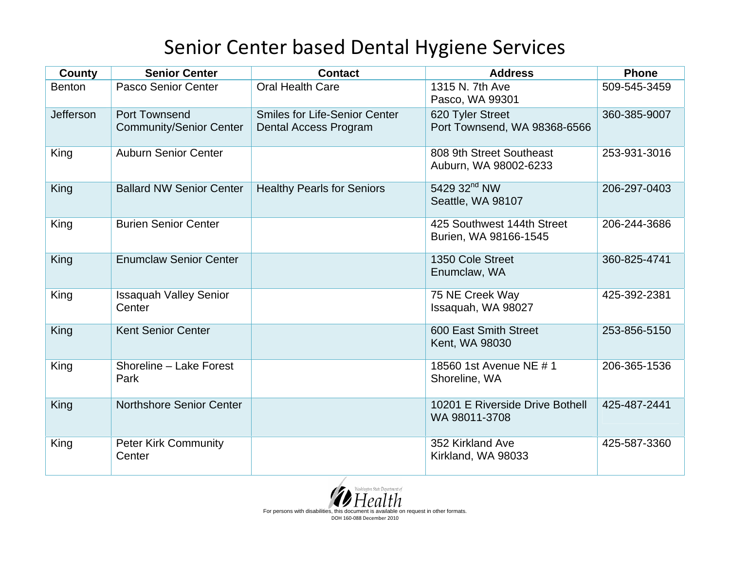## Senior Center based Dental Hygiene Services

| <b>County</b>    | <b>Senior Center</b>                                   | <b>Contact</b>                                                | <b>Address</b>                                      | Phone        |
|------------------|--------------------------------------------------------|---------------------------------------------------------------|-----------------------------------------------------|--------------|
| <b>Benton</b>    | Pasco Senior Center                                    | <b>Oral Health Care</b>                                       | 1315 N. 7th Ave<br>Pasco, WA 99301                  | 509-545-3459 |
| <b>Jefferson</b> | <b>Port Townsend</b><br><b>Community/Senior Center</b> | <b>Smiles for Life-Senior Center</b><br>Dental Access Program | 620 Tyler Street<br>Port Townsend, WA 98368-6566    | 360-385-9007 |
| King             | <b>Auburn Senior Center</b>                            |                                                               | 808 9th Street Southeast<br>Auburn, WA 98002-6233   | 253-931-3016 |
| King             | <b>Ballard NW Senior Center</b>                        | <b>Healthy Pearls for Seniors</b>                             | 5429 32 <sup>nd</sup> NW<br>Seattle, WA 98107       | 206-297-0403 |
| King             | <b>Burien Senior Center</b>                            |                                                               | 425 Southwest 144th Street<br>Burien, WA 98166-1545 | 206-244-3686 |
| King             | <b>Enumclaw Senior Center</b>                          |                                                               | 1350 Cole Street<br>Enumclaw, WA                    | 360-825-4741 |
| King             | <b>Issaquah Valley Senior</b><br>Center                |                                                               | 75 NE Creek Way<br>Issaquah, WA 98027               | 425-392-2381 |
| King             | <b>Kent Senior Center</b>                              |                                                               | 600 East Smith Street<br>Kent, WA 98030             | 253-856-5150 |
| King             | Shoreline - Lake Forest<br>Park                        |                                                               | 18560 1st Avenue NE # 1<br>Shoreline, WA            | 206-365-1536 |
| King             | Northshore Senior Center                               |                                                               | 10201 E Riverside Drive Bothell<br>WA 98011-3708    | 425-487-2441 |
| King             | <b>Peter Kirk Community</b><br>Center                  |                                                               | 352 Kirkland Ave<br>Kirkland, WA 98033              | 425-587-3360 |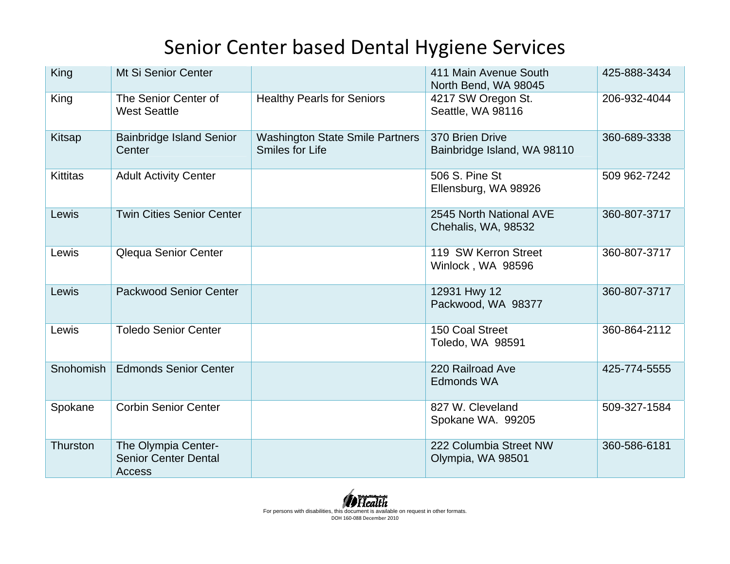## Senior Center based Dental Hygiene Services

| King            | Mt Si Senior Center                                          |                                                                  | 411 Main Avenue South<br>North Bend, WA 98045  | 425-888-3434 |
|-----------------|--------------------------------------------------------------|------------------------------------------------------------------|------------------------------------------------|--------------|
| King            | The Senior Center of<br><b>West Seattle</b>                  | <b>Healthy Pearls for Seniors</b>                                | 4217 SW Oregon St.<br>Seattle, WA 98116        | 206-932-4044 |
| Kitsap          | <b>Bainbridge Island Senior</b><br>Center                    | <b>Washington State Smile Partners</b><br><b>Smiles for Life</b> | 370 Brien Drive<br>Bainbridge Island, WA 98110 | 360-689-3338 |
| <b>Kittitas</b> | <b>Adult Activity Center</b>                                 |                                                                  | 506 S. Pine St<br>Ellensburg, WA 98926         | 509 962-7242 |
| Lewis           | <b>Twin Cities Senior Center</b>                             |                                                                  | 2545 North National AVE<br>Chehalis, WA, 98532 | 360-807-3717 |
| Lewis           | Qlequa Senior Center                                         |                                                                  | 119 SW Kerron Street<br>Winlock, WA 98596      | 360-807-3717 |
| Lewis           | <b>Packwood Senior Center</b>                                |                                                                  | 12931 Hwy 12<br>Packwood, WA 98377             | 360-807-3717 |
| Lewis           | <b>Toledo Senior Center</b>                                  |                                                                  | 150 Coal Street<br>Toledo, WA 98591            | 360-864-2112 |
| Snohomish       | <b>Edmonds Senior Center</b>                                 |                                                                  | 220 Railroad Ave<br><b>Edmonds WA</b>          | 425-774-5555 |
| Spokane         | <b>Corbin Senior Center</b>                                  |                                                                  | 827 W. Cleveland<br>Spokane WA. 99205          | 509-327-1584 |
| Thurston        | The Olympia Center-<br><b>Senior Center Dental</b><br>Access |                                                                  | 222 Columbia Street NW<br>Olympia, WA 98501    | 360-586-6181 |